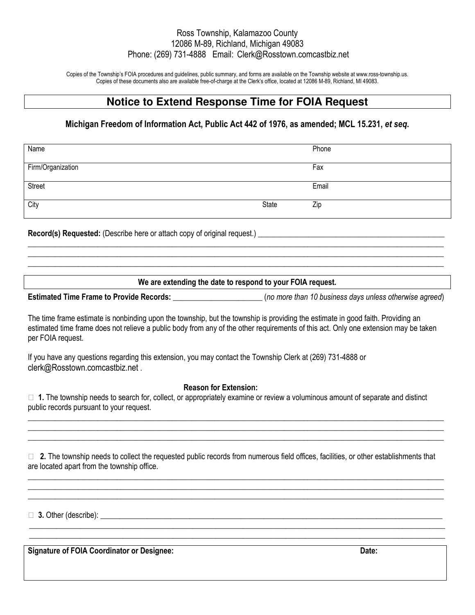# Ross Township, Kalamazoo County 12086 M-89, Richland, Michigan 49083 Phone: (269) 731-4888 Email: Clerk@Rosstown.comcastbiz.net

Copies of the Township's FOIA procedures and guidelines, public summary, and forms are available on the Township website at www.ross-township.us. Copies of these documents also are available free-of-charge at the Clerk's office, located at 12086 M-89, Richland, MI 49083.

# **Notice to Extend Response Time for FOIA Request**

# **Michigan Freedom of Information Act, Public Act 442 of 1976, as amended; MCL 15.231,** *et seq***.**

| Name              |       | Phone |
|-------------------|-------|-------|
| Firm/Organization |       | Fax   |
| Street            |       | Email |
| City              | State | Zip   |

**Record(s) Requested:** (Describe here or attach copy of original request.)

### **We are extending the date to respond to your FOIA request.**

**\_\_\_\_\_\_\_\_\_\_\_\_\_\_\_\_\_\_\_\_\_\_\_\_\_\_\_\_\_\_\_\_\_\_\_\_\_\_\_\_\_\_\_\_\_\_\_\_\_\_\_\_\_\_\_\_\_\_\_\_\_\_\_\_\_\_\_\_\_\_\_\_\_\_\_\_\_\_\_\_\_\_\_\_\_\_\_\_\_\_\_\_\_\_\_\_\_\_\_\_\_\_\_\_\_\_\_ \_\_\_\_\_\_\_\_\_\_\_\_\_\_\_\_\_\_\_\_\_\_\_\_\_\_\_\_\_\_\_\_\_\_\_\_\_\_\_\_\_\_\_\_\_\_\_\_\_\_\_\_\_\_\_\_\_\_\_\_\_\_\_\_\_\_\_\_\_\_\_\_\_\_\_\_\_\_\_\_\_\_\_\_\_\_\_\_\_\_\_\_\_\_\_\_\_\_\_\_\_\_\_\_\_\_\_ \_\_\_\_\_\_\_\_\_\_\_\_\_\_\_\_\_\_\_\_\_\_\_\_\_\_\_\_\_\_\_\_\_\_\_\_\_\_\_\_\_\_\_\_\_\_\_\_\_\_\_\_\_\_\_\_\_\_\_\_\_\_\_\_\_\_\_\_\_\_\_\_\_\_\_\_\_\_\_\_\_\_\_\_\_\_\_\_\_\_\_\_\_\_\_\_\_\_\_\_\_\_\_\_\_\_\_** 

| <b>Estimated Time Frame to Provide Records:</b> | (no more than 10 business days unless otherwise agreed) |
|-------------------------------------------------|---------------------------------------------------------|
|-------------------------------------------------|---------------------------------------------------------|

The time frame estimate is nonbinding upon the township, but the township is providing the estimate in good faith. Providing an estimated time frame does not relieve a public body from any of the other requirements of this act. Only one extension may be taken per FOIA request.

If you have any questions regarding this extension, you may contact the Township Clerk at (269) 731-4888 or clerk@Rosstown.comcastbiz.net .

#### **Reason for Extension:**

 **1.** The township needs to search for, collect, or appropriately examine or review a voluminous amount of separate and distinct public records pursuant to your request.

\_\_\_\_\_\_\_\_\_\_\_\_\_\_\_\_\_\_\_\_\_\_\_\_\_\_\_\_\_\_\_\_\_\_\_\_\_\_\_\_\_\_\_\_\_\_\_\_\_\_\_\_\_\_\_\_\_\_\_\_\_\_\_\_\_\_\_\_\_\_\_\_\_\_\_\_\_\_\_\_\_\_\_\_\_\_\_\_\_\_\_\_\_\_\_\_\_\_\_\_\_\_\_\_\_\_\_ \_\_\_\_\_\_\_\_\_\_\_\_\_\_\_\_\_\_\_\_\_\_\_\_\_\_\_\_\_\_\_\_\_\_\_\_\_\_\_\_\_\_\_\_\_\_\_\_\_\_\_\_\_\_\_\_\_\_\_\_\_\_\_\_\_\_\_\_\_\_\_\_\_\_\_\_\_\_\_\_\_\_\_\_\_\_\_\_\_\_\_\_\_\_\_\_\_\_\_\_\_\_\_\_\_\_\_ \_\_\_\_\_\_\_\_\_\_\_\_\_\_\_\_\_\_\_\_\_\_\_\_\_\_\_\_\_\_\_\_\_\_\_\_\_\_\_\_\_\_\_\_\_\_\_\_\_\_\_\_\_\_\_\_\_\_\_\_\_\_\_\_\_\_\_\_\_\_\_\_\_\_\_\_\_\_\_\_\_\_\_\_\_\_\_\_\_\_\_\_\_\_\_\_\_\_\_\_\_\_\_\_\_\_\_

 **2.** The township needs to collect the requested public records from numerous field offices, facilities, or other establishments that are located apart from the township office.

\_\_\_\_\_\_\_\_\_\_\_\_\_\_\_\_\_\_\_\_\_\_\_\_\_\_\_\_\_\_\_\_\_\_\_\_\_\_\_\_\_\_\_\_\_\_\_\_\_\_\_\_\_\_\_\_\_\_\_\_\_\_\_\_\_\_\_\_\_\_\_\_\_\_\_\_\_\_\_\_\_\_\_\_\_\_\_\_\_\_\_\_\_\_\_\_\_\_\_\_\_\_\_\_\_\_\_ \_\_\_\_\_\_\_\_\_\_\_\_\_\_\_\_\_\_\_\_\_\_\_\_\_\_\_\_\_\_\_\_\_\_\_\_\_\_\_\_\_\_\_\_\_\_\_\_\_\_\_\_\_\_\_\_\_\_\_\_\_\_\_\_\_\_\_\_\_\_\_\_\_\_\_\_\_\_\_\_\_\_\_\_\_\_\_\_\_\_\_\_\_\_\_\_\_\_\_\_\_\_\_\_\_\_\_ \_\_\_\_\_\_\_\_\_\_\_\_\_\_\_\_\_\_\_\_\_\_\_\_\_\_\_\_\_\_\_\_\_\_\_\_\_\_\_\_\_\_\_\_\_\_\_\_\_\_\_\_\_\_\_\_\_\_\_\_\_\_\_\_\_\_\_\_\_\_\_\_\_\_\_\_\_\_\_\_\_\_\_\_\_\_\_\_\_\_\_\_\_\_\_\_\_\_\_\_\_\_\_\_\_\_\_

\_\_\_\_\_\_\_\_\_\_\_\_\_\_\_\_\_\_\_\_\_\_\_\_\_\_\_\_\_\_\_\_\_\_\_\_\_\_\_\_\_\_\_\_\_\_\_\_\_\_\_\_\_\_\_\_\_\_\_\_\_\_\_\_\_\_\_\_\_\_\_\_\_\_\_\_\_\_\_\_\_\_\_\_\_\_\_\_\_\_\_\_\_\_\_\_\_\_\_\_\_\_\_\_\_\_\_ \_\_\_\_\_\_\_\_\_\_\_\_\_\_\_\_\_\_\_\_\_\_\_\_\_\_\_\_\_\_\_\_\_\_\_\_\_\_\_\_\_\_\_\_\_\_\_\_\_\_\_\_\_\_\_\_\_\_\_\_\_\_\_\_\_\_\_\_\_\_\_\_\_\_\_\_\_\_\_\_\_\_\_\_\_\_\_\_\_\_\_\_\_\_\_\_\_\_\_\_\_\_\_\_\_\_\_

**3.** Other (describe):

**Signature of FOIA Coordinator or Designee: Date:**